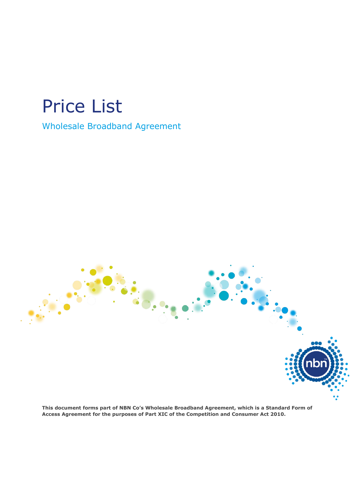# Price List

## Wholesale Broadband Agreement

**This document forms part of NBN Co's Wholesale Broadband Agreement, which is a Standard Form of Access Agreement for the purposes of Part XIC of the Competition and Consumer Act 2010.**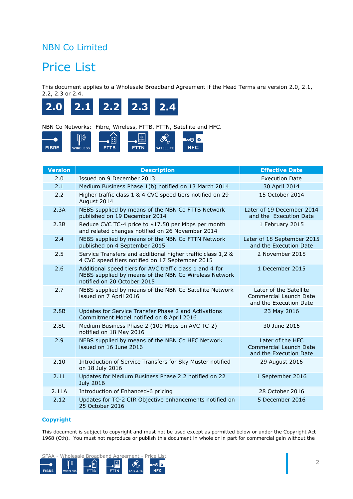### NBN Co Limited

## Price List

This document applies to a Wholesale Broadband Agreement if the Head Terms are version 2.0, 2.1, 2.2, 2.3 or 2.4.



NBN Co Networks: Fibre, Wireless, FTTB, FTTN, Satellite and HFC.



| <b>Version</b> | <b>Description</b>                                                                                                                               | <b>Effective Date</b>                                                             |
|----------------|--------------------------------------------------------------------------------------------------------------------------------------------------|-----------------------------------------------------------------------------------|
| 2.0            | Issued on 9 December 2013                                                                                                                        | <b>Execution Date</b>                                                             |
| 2.1            | Medium Business Phase 1(b) notified on 13 March 2014                                                                                             | 30 April 2014                                                                     |
| 2.2            | Higher traffic class 1 & 4 CVC speed tiers notified on 29<br>August 2014                                                                         | 15 October 2014                                                                   |
| 2.3A           | NEBS supplied by means of the NBN Co FTTB Network<br>published on 19 December 2014                                                               | Later of 19 December 2014<br>and the Execution Date                               |
| 2.3B           | Reduce CVC TC-4 price to \$17.50 per Mbps per month<br>and related changes notified on 26 November 2014                                          | 1 February 2015                                                                   |
| 2.4            | NEBS supplied by means of the NBN Co FTTN Network<br>published on 4 September 2015                                                               | Later of 18 September 2015<br>and the Execution Date                              |
| 2.5            | Service Transfers and additional higher traffic class 1,2 &<br>4 CVC speed tiers notified on 17 September 2015                                   | 2 November 2015                                                                   |
| 2.6            | Additional speed tiers for AVC traffic class 1 and 4 for<br>NEBS supplied by means of the NBN Co Wireless Network<br>notified on 20 October 2015 | 1 December 2015                                                                   |
| 2.7            | NEBS supplied by means of the NBN Co Satellite Network<br>issued on 7 April 2016                                                                 | Later of the Satellite<br><b>Commercial Launch Date</b><br>and the Execution Date |
| 2.8B           | Updates for Service Transfer Phase 2 and Activations<br>Commitment Model notified on 8 April 2016                                                | 23 May 2016                                                                       |
| 2.8C           | Medium Business Phase 2 (100 Mbps on AVC TC-2)<br>notified on 18 May 2016                                                                        | 30 June 2016                                                                      |
| 2.9            | NEBS supplied by means of the NBN Co HFC Network<br>issued on 16 June 2016                                                                       | Later of the HFC<br>Commercial Launch Date<br>and the Execution Date              |
| 2.10           | Introduction of Service Transfers for Sky Muster notified<br>on 18 July 2016                                                                     | 29 August 2016                                                                    |
| 2.11           | Updates for Medium Business Phase 2.2 notified on 22<br><b>July 2016</b>                                                                         | 1 September 2016                                                                  |
| 2.11A          | Introduction of Enhanced-6 pricing                                                                                                               | 28 October 2016                                                                   |
| 2.12           | Updates for TC-2 CIR Objective enhancements notified on<br>25 October 2016                                                                       | 5 December 2016                                                                   |

#### **Copyright**

This document is subject to copyright and must not be used except as permitted below or under the Copyright Act 1968 (Cth). You must not reproduce or publish this document in whole or in part for commercial gain without the

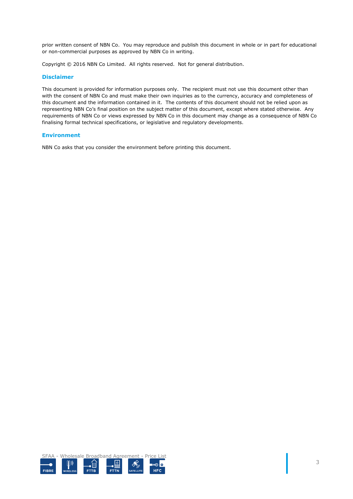prior written consent of NBN Co. You may reproduce and publish this document in whole or in part for educational or non-commercial purposes as approved by NBN Co in writing.

Copyright © 2016 NBN Co Limited. All rights reserved. Not for general distribution.

#### **Disclaimer**

This document is provided for information purposes only. The recipient must not use this document other than with the consent of NBN Co and must make their own inquiries as to the currency, accuracy and completeness of this document and the information contained in it. The contents of this document should not be relied upon as representing NBN Co's final position on the subject matter of this document, except where stated otherwise. Any requirements of NBN Co or views expressed by NBN Co in this document may change as a consequence of NBN Co finalising formal technical specifications, or legislative and regulatory developments.

#### **Environment**

NBN Co asks that you consider the environment before printing this document.

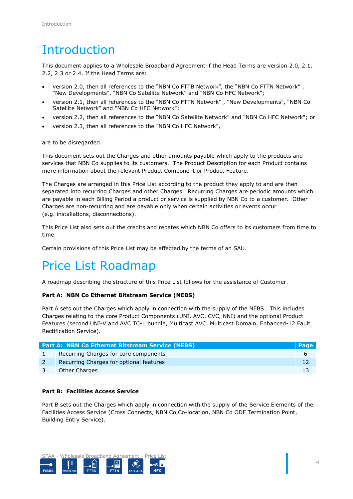## Introduction

This document applies to a Wholesale Broadband Agreement if the Head Terms are version 2.0, 2.1, 2.2, 2.3 or 2.4. If the Head Terms are:

- version 2.0, then all references to the "NBN Co FTTB Network", the "NBN Co FTTN Network" , "New Developments", "NBN Co Satellite Network" and "NBN Co HFC Network";
- version 2.1, then all references to the "NBN Co FTTN Network" , "New Developments", "NBN Co Satellite Network" and "NBN Co HFC Network";
- version 2.2, then all references to the "NBN Co Satellite Network" and "NBN Co HFC Network"; or
- version 2.3, then all references to the "NBN Co HFC Network",

are to be disregarded.

This document sets out the Charges and other amounts payable which apply to the products and services that NBN Co supplies to its customers. The Product Description for each Product contains more information about the relevant Product Component or Product Feature.

The Charges are arranged in this Price List according to the product they apply to and are then separated into recurring Charges and other Charges. Recurring Charges are periodic amounts which are payable in each Billing Period a product or service is supplied by NBN Co to a customer. Other Charges are non-recurring and are payable only when certain activities or events occur (e.g. installations, disconnections).

This Price List also sets out the credits and rebates which NBN Co offers to its customers from time to time.

Certain provisions of this Price List may be affected by the terms of an SAU.

## Price List Roadmap

A roadmap describing the structure of this Price List follows for the assistance of Customer.

#### **[Part A: NBN Co Ethernet Bitstream Service](#page-5-0) (NEBS)**

[Part A](#page-5-0) sets out the Charges which apply in connection with the supply of the NEBS. This includes Charges relating to the core Product Components (UNI, AVC, CVC, NNI) and the optional Product Features (second UNI-V and AVC TC-1 bundle, Multicast AVC, Multicast Domain, Enhanced-12 Fault Rectification Service).

| <b>Part A: NBN Co Ethernet Bitstream Service (NEBS)</b> | <b>Page</b> |
|---------------------------------------------------------|-------------|
| Recurring Charges for core components                   |             |
| Recurring Charges for optional features                 |             |
| Other Charges                                           |             |

#### **[Part B: Facilities Access Service](#page-20-0)**

[Part B](#page-20-0) sets out the Charges which apply in connection with the supply of the Service Elements of the Facilities Access Service (Cross Connects, NBN Co Co-location, NBN Co ODF Termination Point, Building Entry Service).

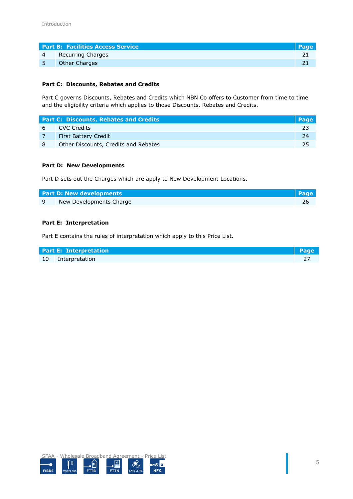|   | <b>Part B: Facilities Access Service</b> | <b>\Page</b> |
|---|------------------------------------------|--------------|
| 4 | Recurring Charges                        |              |
|   | <b>Other Charges</b>                     |              |

#### **[Part C: Discounts, Rebates and Credits](#page-22-0)**

[Part C](#page-22-0) governs Discounts, Rebates and Credits which NBN Co offers to Customer from time to time and the eligibility criteria which applies to those Discounts, Rebates and Credits.

|   | <b>Part C: Discounts, Rebates and Credits</b> | <b>Page</b> |
|---|-----------------------------------------------|-------------|
|   | 6 CVC Credits                                 |             |
|   | <b>First Battery Credit</b>                   |             |
| 8 | Other Discounts, Credits and Rebates          | つら          |

#### **[Part D: New Developments](#page-25-0)**

[Part D](#page-25-0) sets out the Charges which are apply to New Development Locations.

| <b>Part D: New developments</b> | <b>Page</b> |
|---------------------------------|-------------|
| New Developments Charge         |             |

#### **[Part E: Interpretation](#page-26-0)**

[Part E](#page-26-0) contains the rules of interpretation which apply to this Price List.

| <b>Part E: Interpretation</b> | <b>Page</b> |
|-------------------------------|-------------|
| 10 Interpretation             |             |

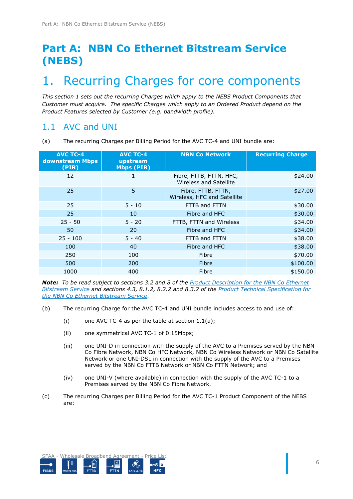## <span id="page-5-0"></span>**Part A: NBN Co Ethernet Bitstream Service (NEBS)**

## <span id="page-5-1"></span>1. Recurring Charges for core components

*This section [1](#page-5-1) sets out the recurring Charges which apply to the NEBS Product Components that Customer must acquire. The specific Charges which apply to an Ordered Product depend on the Product Features selected by Customer (e.g. bandwidth profile).* 

### 1.1 AVC and UNI

<span id="page-5-2"></span>(a) The recurring Charges per Billing Period for the AVC TC-4 and UNI bundle are:

| <b>AVC TC-4</b><br>downstream Mbps<br>(PIR) | <b>AVC TC-4</b><br>upstream<br><b>Mbps (PIR)</b> | <b>NBN Co Network</b>                             | <b>Recurring Charge</b> |
|---------------------------------------------|--------------------------------------------------|---------------------------------------------------|-------------------------|
| 12                                          |                                                  | Fibre, FTTB, FTTN, HFC,<br>Wireless and Satellite | \$24.00                 |
| 25                                          | 5                                                | Fibre, FTTB, FTTN,<br>Wireless, HFC and Satellite | \$27.00                 |
| 25                                          | $5 - 10$                                         | FTTB and FTTN                                     | \$30.00                 |
| 25                                          | 10                                               | Fibre and HFC                                     | \$30.00                 |
| $25 - 50$                                   | $5 - 20$                                         | FTTB, FTTN and Wireless                           | \$34.00                 |
| 50                                          | 20                                               | Fibre and HFC                                     | \$34.00                 |
| $25 - 100$                                  | $5 - 40$                                         | FTTB and FTTN                                     | \$38.00                 |
| 100                                         | 40                                               | Fibre and HFC                                     | \$38.00                 |
| 250                                         | 100                                              | Fibre                                             | \$70.00                 |
| 500                                         | 200                                              | Fibre                                             | \$100.00                |
| 1000                                        | 400                                              | Fibre                                             | \$150.00                |

*Note: To be read subject to sections 3.2 and 8 of the Product Description for the NBN Co Ethernet Bitstream Service and sections 4.3, 8.1.2, 8.2.2 and 8.3.2 of the Product Technical Specification for the NBN Co Ethernet Bitstream Service.* 

- (b) The recurring Charge for the AVC TC-4 and UNI bundle includes access to and use of:
	- (i) one AVC TC-4 as per the table at section [1.1\(a\);](#page-5-2)
	- (ii) one symmetrical AVC TC-1 of 0.15Mbps;
	- (iii) one UNI-D in connection with the supply of the AVC to a Premises served by the NBN Co Fibre Network, NBN Co HFC Network, NBN Co Wireless Network or NBN Co Satellite Network or one UNI-DSL in connection with the supply of the AVC to a Premises served by the NBN Co FTTB Network or NBN Co FTTN Network; and
	- (iv) one UNI-V (where available) in connection with the supply of the AVC TC-1 to a Premises served by the NBN Co Fibre Network.
- (c) The recurring Charges per Billing Period for the AVC TC-1 Product Component of the NEBS are:

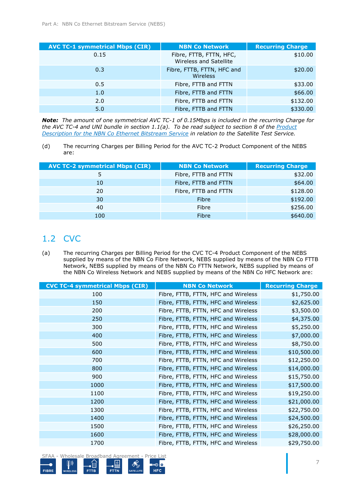| <b>AVC TC-1 symmetrical Mbps (CIR)</b> | <b>NBN Co Network</b>                             | <b>Recurring Charge</b> |
|----------------------------------------|---------------------------------------------------|-------------------------|
| 0.15                                   | Fibre, FTTB, FTTN, HFC,<br>Wireless and Satellite | \$10.00                 |
| 0.3                                    | Fibre, FTTB, FTTN, HFC and<br>Wireless            | \$20.00                 |
| 0.5                                    | Fibre, FTTB and FTTN                              | \$33.00                 |
| 1.0                                    | Fibre, FTTB and FTTN                              | \$66.00                 |
| 2.0                                    | Fibre, FTTB and FTTN                              | \$132.00                |
| 5.0                                    | Fibre, FTTB and FTTN                              | \$330.00                |

*Note: The amount of one symmetrical AVC TC-1 of 0.15Mbps is included in the recurring Charge for the AVC TC-4 and UNI bundle in section [1.1\(a\).](#page-5-2) To be read subject to section 8 of the Product Description for the NBN Co Ethernet Bitstream Service in relation to the Satellite Test Service.*

<span id="page-6-1"></span>(d) The recurring Charges per Billing Period for the AVC TC-2 Product Component of the NEBS are:

| <b>AVC TC-2 symmetrical Mbps (CIR)</b> | <b>NBN Co Network</b> | <b>Recurring Charge</b> |
|----------------------------------------|-----------------------|-------------------------|
| 5                                      | Fibre, FTTB and FTTN  | \$32.00                 |
| 10                                     | Fibre, FTTB and FTTN  | \$64.00                 |
| 20                                     | Fibre, FTTB and FTTN  | \$128.00                |
| 30                                     | Fibre                 | \$192.00                |
| 40                                     | Fibre                 | \$256.00                |
| 100                                    | Fibre                 | \$640.00                |

## <span id="page-6-0"></span>1.2 CVC

(a) The recurring Charges per Billing Period for the CVC TC-4 Product Component of the NEBS supplied by means of the NBN Co Fibre Network, NEBS supplied by means of the NBN Co FTTB Network, NEBS supplied by means of the NBN Co FTTN Network, NEBS supplied by means of the NBN Co Wireless Network and NEBS supplied by means of the NBN Co HFC Network are:

| <b>CVC TC-4 symmetrical Mbps (CIR)</b> | <b>NBN Co Network</b>               | <b>Recurring Charge</b> |
|----------------------------------------|-------------------------------------|-------------------------|
| 100                                    | Fibre, FTTB, FTTN, HFC and Wireless | \$1,750.00              |
| 150                                    | Fibre, FTTB, FTTN, HFC and Wireless | \$2,625.00              |
| 200                                    | Fibre, FTTB, FTTN, HFC and Wireless | \$3,500.00              |
| 250                                    | Fibre, FTTB, FTTN, HFC and Wireless | \$4,375.00              |
| 300                                    | Fibre, FTTB, FTTN, HFC and Wireless | \$5,250.00              |
| 400                                    | Fibre, FTTB, FTTN, HFC and Wireless | \$7,000.00              |
| 500                                    | Fibre, FTTB, FTTN, HFC and Wireless | \$8,750.00              |
| 600                                    | Fibre, FTTB, FTTN, HFC and Wireless | \$10,500.00             |
| 700                                    | Fibre, FTTB, FTTN, HFC and Wireless | \$12,250.00             |
| 800                                    | Fibre, FTTB, FTTN, HFC and Wireless | \$14,000.00             |
| 900                                    | Fibre, FTTB, FTTN, HFC and Wireless | \$15,750.00             |
| 1000                                   | Fibre, FTTB, FTTN, HFC and Wireless | \$17,500.00             |
| 1100                                   | Fibre, FTTB, FTTN, HFC and Wireless | \$19,250.00             |
| 1200                                   | Fibre, FTTB, FTTN, HFC and Wireless | \$21,000.00             |
| 1300                                   | Fibre, FTTB, FTTN, HFC and Wireless | \$22,750.00             |
| 1400                                   | Fibre, FTTB, FTTN, HFC and Wireless | \$24,500.00             |
| 1500                                   | Fibre, FTTB, FTTN, HFC and Wireless | \$26,250.00             |
| 1600                                   | Fibre, FTTB, FTTN, HFC and Wireless | \$28,000.00             |
| 1700                                   | Fibre, FTTB, FTTN, HFC and Wireless | \$29,750.00             |

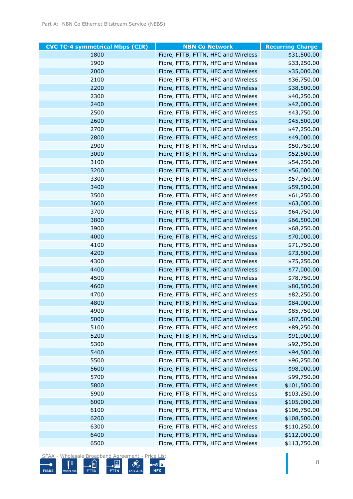| <b>CVC TC-4 symmetrical Mbps (CIR)</b> | <b>NBN Co Network</b>               | <b>Recurring Charge</b> |
|----------------------------------------|-------------------------------------|-------------------------|
| 1800                                   | Fibre, FTTB, FTTN, HFC and Wireless | \$31,500.00             |
| 1900                                   | Fibre, FTTB, FTTN, HFC and Wireless | \$33,250.00             |
| 2000                                   | Fibre, FTTB, FTTN, HFC and Wireless | \$35,000.00             |
| 2100                                   | Fibre, FTTB, FTTN, HFC and Wireless | \$36,750.00             |
| 2200                                   | Fibre, FTTB, FTTN, HFC and Wireless | \$38,500.00             |
| 2300                                   | Fibre, FTTB, FTTN, HFC and Wireless | \$40,250.00             |
| 2400                                   | Fibre, FTTB, FTTN, HFC and Wireless | \$42,000.00             |
| 2500                                   | Fibre, FTTB, FTTN, HFC and Wireless | \$43,750.00             |
| 2600                                   | Fibre, FTTB, FTTN, HFC and Wireless | \$45,500.00             |
| 2700                                   | Fibre, FTTB, FTTN, HFC and Wireless | \$47,250.00             |
| 2800                                   | Fibre, FTTB, FTTN, HFC and Wireless | \$49,000.00             |
| 2900                                   | Fibre, FTTB, FTTN, HFC and Wireless | \$50,750.00             |
| 3000                                   | Fibre, FTTB, FTTN, HFC and Wireless | \$52,500.00             |
| 3100                                   | Fibre, FTTB, FTTN, HFC and Wireless | \$54,250.00             |
| 3200                                   | Fibre, FTTB, FTTN, HFC and Wireless | \$56,000.00             |
| 3300                                   | Fibre, FTTB, FTTN, HFC and Wireless | \$57,750.00             |
| 3400                                   | Fibre, FTTB, FTTN, HFC and Wireless | \$59,500.00             |
| 3500                                   | Fibre, FTTB, FTTN, HFC and Wireless | \$61,250.00             |
| 3600                                   | Fibre, FTTB, FTTN, HFC and Wireless | \$63,000.00             |
| 3700                                   | Fibre, FTTB, FTTN, HFC and Wireless | \$64,750.00             |
| 3800                                   | Fibre, FTTB, FTTN, HFC and Wireless | \$66,500.00             |
| 3900                                   | Fibre, FTTB, FTTN, HFC and Wireless | \$68,250.00             |
| 4000                                   | Fibre, FTTB, FTTN, HFC and Wireless | \$70,000.00             |
| 4100                                   | Fibre, FTTB, FTTN, HFC and Wireless | \$71,750.00             |
| 4200                                   | Fibre, FTTB, FTTN, HFC and Wireless | \$73,500.00             |
| 4300                                   | Fibre, FTTB, FTTN, HFC and Wireless | \$75,250.00             |
| 4400                                   | Fibre, FTTB, FTTN, HFC and Wireless | \$77,000.00             |
| 4500                                   | Fibre, FTTB, FTTN, HFC and Wireless | \$78,750.00             |
| 4600                                   | Fibre, FTTB, FTTN, HFC and Wireless | \$80,500.00             |
| 4700                                   | Fibre, FTTB, FTTN, HFC and Wireless | \$82,250.00             |
| 4800                                   | Fibre, FTTB, FTTN, HFC and Wireless | \$84,000.00             |
| 4900                                   | Fibre, FTTB, FTTN, HFC and Wireless | \$85,750.00             |
| 5000                                   | Fibre, FTTB, FTTN, HFC and Wireless | \$87,500.00             |
| 5100                                   | Fibre, FTTB, FTTN, HFC and Wireless | \$89,250.00             |
| 5200                                   | Fibre, FTTB, FTTN, HFC and Wireless | \$91,000.00             |
| 5300                                   | Fibre, FTTB, FTTN, HFC and Wireless | \$92,750.00             |
| 5400                                   | Fibre, FTTB, FTTN, HFC and Wireless | \$94,500.00             |
| 5500                                   | Fibre, FTTB, FTTN, HFC and Wireless | \$96,250.00             |
| 5600                                   | Fibre, FTTB, FTTN, HFC and Wireless | \$98,000.00             |
| 5700                                   | Fibre, FTTB, FTTN, HFC and Wireless | \$99,750.00             |
| 5800                                   | Fibre, FTTB, FTTN, HFC and Wireless | \$101,500.00            |
| 5900                                   | Fibre, FTTB, FTTN, HFC and Wireless | \$103,250.00            |
| 6000                                   | Fibre, FTTB, FTTN, HFC and Wireless | \$105,000.00            |
| 6100                                   | Fibre, FTTB, FTTN, HFC and Wireless | \$106,750.00            |
| 6200                                   | Fibre, FTTB, FTTN, HFC and Wireless | \$108,500.00            |
| 6300                                   | Fibre, FTTB, FTTN, HFC and Wireless | \$110,250.00            |
| 6400                                   | Fibre, FTTB, FTTN, HFC and Wireless | \$112,000.00            |
| 6500                                   | Fibre, FTTB, FTTN, HFC and Wireless | \$113,750.00            |

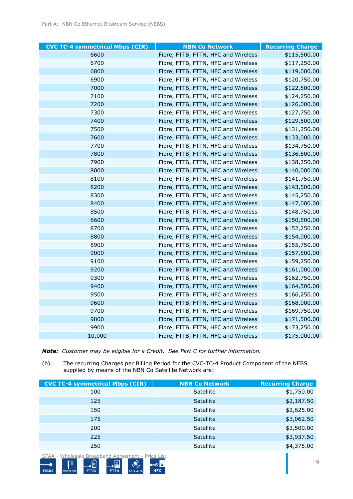| <b>CVC TC-4 symmetrical Mbps (CIR)</b> | <b>NBN Co Network</b>               | <b>Recurring Charge</b> |
|----------------------------------------|-------------------------------------|-------------------------|
| 6600                                   | Fibre, FTTB, FTTN, HFC and Wireless | \$115,500.00            |
| 6700                                   | Fibre, FTTB, FTTN, HFC and Wireless | \$117,250.00            |
| 6800                                   | Fibre, FTTB, FTTN, HFC and Wireless | \$119,000.00            |
| 6900                                   | Fibre, FTTB, FTTN, HFC and Wireless | \$120,750.00            |
| 7000                                   | Fibre, FTTB, FTTN, HFC and Wireless | \$122,500.00            |
| 7100                                   | Fibre, FTTB, FTTN, HFC and Wireless | \$124,250.00            |
| 7200                                   | Fibre, FTTB, FTTN, HFC and Wireless | \$126,000.00            |
| 7300                                   | Fibre, FTTB, FTTN, HFC and Wireless | \$127,750.00            |
| 7400                                   | Fibre, FTTB, FTTN, HFC and Wireless | \$129,500.00            |
| 7500                                   | Fibre, FTTB, FTTN, HFC and Wireless | \$131,250.00            |
| 7600                                   | Fibre, FTTB, FTTN, HFC and Wireless | \$133,000.00            |
| 7700                                   | Fibre, FTTB, FTTN, HFC and Wireless | \$134,750.00            |
| 7800                                   | Fibre, FTTB, FTTN, HFC and Wireless | \$136,500.00            |
| 7900                                   | Fibre, FTTB, FTTN, HFC and Wireless | \$138,250.00            |
| 8000                                   | Fibre, FTTB, FTTN, HFC and Wireless | \$140,000.00            |
| 8100                                   | Fibre, FTTB, FTTN, HFC and Wireless | \$141,750.00            |
| 8200                                   | Fibre, FTTB, FTTN, HFC and Wireless | \$143,500.00            |
| 8300                                   | Fibre, FTTB, FTTN, HFC and Wireless | \$145,250.00            |
| 8400                                   | Fibre, FTTB, FTTN, HFC and Wireless | \$147,000.00            |
| 8500                                   | Fibre, FTTB, FTTN, HFC and Wireless | \$148,750.00            |
| 8600                                   | Fibre, FTTB, FTTN, HFC and Wireless | \$150,500.00            |
| 8700                                   | Fibre, FTTB, FTTN, HFC and Wireless | \$152,250.00            |
| 8800                                   | Fibre, FTTB, FTTN, HFC and Wireless | \$154,000.00            |
| 8900                                   | Fibre, FTTB, FTTN, HFC and Wireless | \$155,750.00            |
| 9000                                   | Fibre, FTTB, FTTN, HFC and Wireless | \$157,500.00            |
| 9100                                   | Fibre, FTTB, FTTN, HFC and Wireless | \$159,250.00            |
| 9200                                   | Fibre, FTTB, FTTN, HFC and Wireless | \$161,000.00            |
| 9300                                   | Fibre, FTTB, FTTN, HFC and Wireless | \$162,750.00            |
| 9400                                   | Fibre, FTTB, FTTN, HFC and Wireless | \$164,500.00            |
| 9500                                   | Fibre, FTTB, FTTN, HFC and Wireless | \$166,250.00            |
| 9600                                   | Fibre, FTTB, FTTN, HFC and Wireless | \$168,000.00            |
| 9700                                   | Fibre, FTTB, FTTN, HFC and Wireless | \$169,750.00            |
| 9800                                   | Fibre, FTTB, FTTN, HFC and Wireless | \$171,500.00            |
| 9900                                   | Fibre, FTTB, FTTN, HFC and Wireless | \$173,250.00            |
| 10,000                                 | Fibre, FTTB, FTTN, HFC and Wireless | \$175,000.00            |

*Note: Customer may be eligible for a Credit. See [Part C](#page-22-0) for further information.*

(b) The recurring Charges per Billing Period for the CVC-TC-4 Product Component of the NEBS supplied by means of the NBN Co Satellite Network are:

| <b>CVC TC-4 symmetrical Mbps (CIR)</b> | <b>NBN Co Network</b> | <b>Recurring Charge</b> |
|----------------------------------------|-----------------------|-------------------------|
| 100                                    | Satellite             | \$1,750.00              |
| 125                                    | Satellite             | \$2,187.50              |
| 150                                    | Satellite             | \$2,625.00              |
| 175                                    | Satellite             | \$3,062.50              |
| 200                                    | Satellite             | \$3,500.00              |
| 225                                    | Satellite             | \$3,937.50              |
| 250                                    | Satellite             | \$4,375.00              |
|                                        |                       |                         |

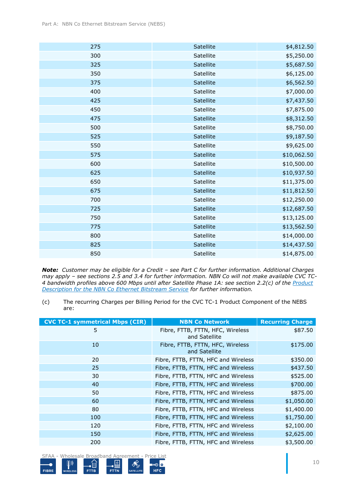| 275 | Satellite | \$4,812.50  |
|-----|-----------|-------------|
| 300 | Satellite | \$5,250.00  |
| 325 | Satellite | \$5,687.50  |
| 350 | Satellite | \$6,125.00  |
| 375 | Satellite | \$6,562.50  |
| 400 | Satellite | \$7,000.00  |
| 425 | Satellite | \$7,437.50  |
| 450 | Satellite | \$7,875.00  |
| 475 | Satellite | \$8,312.50  |
| 500 | Satellite | \$8,750.00  |
| 525 | Satellite | \$9,187.50  |
| 550 | Satellite | \$9,625.00  |
| 575 | Satellite | \$10,062.50 |
| 600 | Satellite | \$10,500.00 |
| 625 | Satellite | \$10,937.50 |
| 650 | Satellite | \$11,375.00 |
| 675 | Satellite | \$11,812.50 |
| 700 | Satellite | \$12,250.00 |
| 725 | Satellite | \$12,687.50 |
| 750 | Satellite | \$13,125.00 |
| 775 | Satellite | \$13,562.50 |
| 800 | Satellite | \$14,000.00 |
| 825 | Satellite | \$14,437.50 |
| 850 | Satellite | \$14,875.00 |

*Note: Customer may be eligible for a Credit – see [Part C](#page-22-0) for further information. Additional Charges may apply – see sections [2.5](#page-12-1) and [3.4](#page-17-0) for further information. NBN Co will not make available CVC TC-4 bandwidth profiles above 600 Mbps until after Satellite Phase 1A: see section 2.2(c) of the Product Description for the NBN Co Ethernet Bitstream Service for further information.*

<sup>(</sup>c) The recurring Charges per Billing Period for the CVC TC-1 Product Component of the NEBS are:

| <b>CVC TC-1 symmetrical Mbps (CIR)</b> | <b>NBN Co Network</b>                             | <b>Recurring Charge</b> |
|----------------------------------------|---------------------------------------------------|-------------------------|
| 5                                      | Fibre, FTTB, FTTN, HFC, Wireless<br>and Satellite | \$87.50                 |
| 10                                     | Fibre, FTTB, FTTN, HFC, Wireless<br>and Satellite | \$175.00                |
| 20                                     | Fibre, FTTB, FTTN, HFC and Wireless               | \$350.00                |
| 25                                     | Fibre, FTTB, FTTN, HFC and Wireless               | \$437.50                |
| 30                                     | Fibre, FTTB, FTTN, HFC and Wireless               | \$525.00                |
| 40                                     | Fibre, FTTB, FTTN, HFC and Wireless               | \$700.00                |
| 50                                     | Fibre, FTTB, FTTN, HFC and Wireless               | \$875.00                |
| 60                                     | Fibre, FTTB, FTTN, HFC and Wireless               | \$1,050.00              |
| 80                                     | Fibre, FTTB, FTTN, HFC and Wireless               | \$1,400.00              |
| 100                                    | Fibre, FTTB, FTTN, HFC and Wireless               | \$1,750.00              |
| 120                                    | Fibre, FTTB, FTTN, HFC and Wireless               | \$2,100.00              |
| 150                                    | Fibre, FTTB, FTTN, HFC and Wireless               | \$2,625.00              |
| 200                                    | Fibre, FTTB, FTTN, HFC and Wireless               | \$3,500.00              |

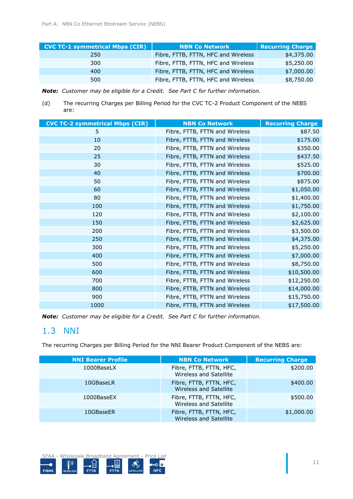| <b>CVC TC-1 symmetrical Mbps (CIR)</b> | <b>NBN Co Network</b>               | <b>Recurring Charge</b> |
|----------------------------------------|-------------------------------------|-------------------------|
| 250                                    | Fibre, FTTB, FTTN, HFC and Wireless | \$4,375.00              |
| 300                                    | Fibre, FTTB, FTTN, HFC and Wireless | \$5,250.00              |
| 400                                    | Fibre, FTTB, FTTN, HFC and Wireless | \$7,000.00              |
| 500                                    | Fibre, FTTB, FTTN, HFC and Wireless | \$8,750.00              |

*Note: Customer may be eligible for a Credit. See [Part C](#page-22-0) for further information.*

(d) The recurring Charges per Billing Period for the CVC TC-2 Product Component of the NEBS are:

| <b>CVC TC-2 symmetrical Mbps (CIR)</b> | <b>NBN Co Network</b>          | <b>Recurring Charge</b> |
|----------------------------------------|--------------------------------|-------------------------|
| 5                                      | Fibre, FTTB, FTTN and Wireless | \$87.50                 |
| 10                                     | Fibre, FTTB, FTTN and Wireless | \$175.00                |
| 20                                     | Fibre, FTTB, FTTN and Wireless | \$350.00                |
| 25                                     | Fibre, FTTB, FTTN and Wireless | \$437.50                |
| 30                                     | Fibre, FTTB, FTTN and Wireless | \$525.00                |
| 40                                     | Fibre, FTTB, FTTN and Wireless | \$700.00                |
| 50                                     | Fibre, FTTB, FTTN and Wireless | \$875.00                |
| 60                                     | Fibre, FTTB, FTTN and Wireless | \$1,050.00              |
| 80                                     | Fibre, FTTB, FTTN and Wireless | \$1,400.00              |
| 100                                    | Fibre, FTTB, FTTN and Wireless | \$1,750.00              |
| 120                                    | Fibre, FTTB, FTTN and Wireless | \$2,100.00              |
| 150                                    | Fibre, FTTB, FTTN and Wireless | \$2,625.00              |
| 200                                    | Fibre, FTTB, FTTN and Wireless | \$3,500.00              |
| 250                                    | Fibre, FTTB, FTTN and Wireless | \$4,375.00              |
| 300                                    | Fibre, FTTB, FTTN and Wireless | \$5,250.00              |
| 400                                    | Fibre, FTTB, FTTN and Wireless | \$7,000.00              |
| 500                                    | Fibre, FTTB, FTTN and Wireless | \$8,750.00              |
| 600                                    | Fibre, FTTB, FTTN and Wireless | \$10,500.00             |
| 700                                    | Fibre, FTTB, FTTN and Wireless | \$12,250.00             |
| 800                                    | Fibre, FTTB, FTTN and Wireless | \$14,000.00             |
| 900                                    | Fibre, FTTB, FTTN and Wireless | \$15,750.00             |
| 1000                                   | Fibre, FTTB, FTTN and Wireless | \$17,500.00             |

*Note: Customer may be eligible for a Credit. See [Part C](#page-22-0) for further information.*

### 1.3 NNI

The recurring Charges per Billing Period for the NNI Bearer Product Component of the NEBS are:

| <b>NNI Bearer Profile</b> | <b>NBN Co Network</b>                                    | <b>Recurring Charge</b> |
|---------------------------|----------------------------------------------------------|-------------------------|
| 1000BaseLX                | Fibre, FTTB, FTTN, HFC,<br>Wireless and Satellite        | \$200.00                |
| 10GBaseLR                 | Fibre, FTTB, FTTN, HFC,<br><b>Wireless and Satellite</b> | \$400.00                |
| 1000BaseEX                | Fibre, FTTB, FTTN, HFC,<br>Wireless and Satellite        | \$500.00                |
| 10GBaseER                 | Fibre, FTTB, FTTN, HFC,<br><b>Wireless and Satellite</b> | \$1,000.00              |

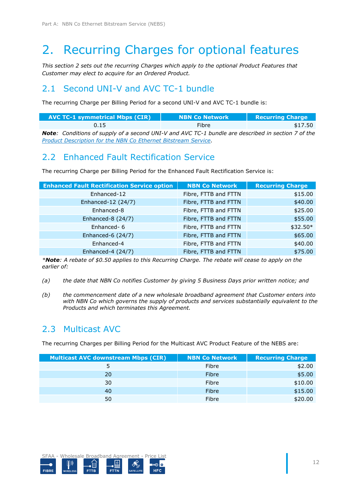## <span id="page-11-0"></span>2. Recurring Charges for optional features

*This section [2](#page-11-0) sets out the recurring Charges which apply to the optional Product Features that Customer may elect to acquire for an Ordered Product.*

### 2.1 Second UNI-V and AVC TC-1 bundle

The recurring Charge per Billing Period for a second UNI-V and AVC TC-1 bundle is:

| <b>AVC TC-1 symmetrical Mbps (CIR)</b>                                                                    | <b>NBN Co Network</b> | <b>Recurring Charge</b> |
|-----------------------------------------------------------------------------------------------------------|-----------------------|-------------------------|
| 0.15                                                                                                      | <b>Fibre</b>          | \$17.50                 |
| <b>Note:</b> Conditions of supply of a second UNI-V and AVC TC-1 bundle are described in section 7 of the |                       |                         |
| Product Description for the NBN Co Ethernet Bitstream Service.                                            |                       |                         |

## 2.2 Enhanced Fault Rectification Service

The recurring Charge per Billing Period for the Enhanced Fault Rectification Service is:

| <b>Enhanced Fault Rectification Service option</b> | <b>NBN Co Network</b> | <b>Recurring Charge</b> |
|----------------------------------------------------|-----------------------|-------------------------|
| Enhanced-12                                        | Fibre, FTTB and FTTN  | \$15.00                 |
| Enhanced-12 (24/7)                                 | Fibre, FTTB and FTTN  | \$40.00                 |
| Enhanced-8                                         | Fibre, FTTB and FTTN  | \$25.00                 |
| Enhanced-8 (24/7)                                  | Fibre, FTTB and FTTN  | \$55.00                 |
| Enhanced-6                                         | Fibre, FTTB and FTTN  | $$32.50*$               |
| Enhanced-6 (24/7)                                  | Fibre, FTTB and FTTN  | \$65.00                 |
| Enhanced-4                                         | Fibre, FTTB and FTTN  | \$40.00                 |
| Enhanced-4 (24/7)                                  | Fibre, FTTB and FTTN  | \$75.00                 |

*\*Note: A rebate of \$0.50 applies to this Recurring Charge. The rebate will cease to apply on the earlier of:*

- *(a) the date that NBN Co notifies Customer by giving 5 Business Days prior written notice; and*
- *(b) the commencement date of a new wholesale broadband agreement that Customer enters into with NBN Co which governs the supply of products and services substantially equivalent to the Products and which terminates this Agreement.*

## 2.3 Multicast AVC

The recurring Charges per Billing Period for the Multicast AVC Product Feature of the NEBS are:

| <b>Multicast AVC downstream Mbps (CIR)</b> | <b>NBN Co Network</b> | <b>Recurring Charge</b> |
|--------------------------------------------|-----------------------|-------------------------|
|                                            | Fibre                 | \$2.00                  |
| 20                                         | Fibre                 | \$5.00                  |
| 30                                         | Fibre                 | \$10.00                 |
| 40                                         | Fibre                 | \$15.00                 |
| 50                                         | Fibre                 | \$20.00                 |

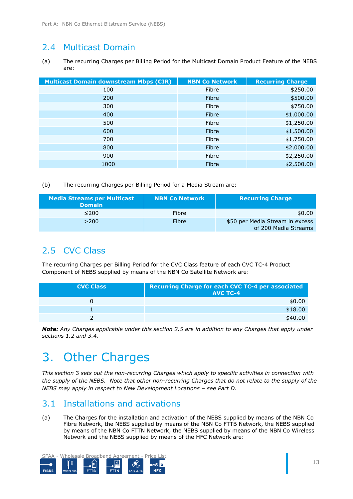## 2.4 Multicast Domain

(a) The recurring Charges per Billing Period for the Multicast Domain Product Feature of the NEBS are:

| <b>Multicast Domain downstream Mbps (CIR)</b> | <b>NBN Co Network</b> | <b>Recurring Charge</b> |
|-----------------------------------------------|-----------------------|-------------------------|
| 100                                           | Fibre                 | \$250.00                |
| 200                                           | Fibre                 | \$500.00                |
| 300                                           | Fibre                 | \$750.00                |
| 400                                           | Fibre                 | \$1,000.00              |
| 500                                           | Fibre                 | \$1,250.00              |
| 600                                           | Fibre                 | \$1,500.00              |
| 700                                           | Fibre                 | \$1,750.00              |
| 800                                           | Fibre                 | \$2,000.00              |
| 900                                           | Fibre                 | \$2,250.00              |
| 1000                                          | Fibre                 | \$2,500.00              |

(b) The recurring Charges per Billing Period for a Media Stream are:

| <b>Media Streams per Multicast</b><br><b>Domain</b> | <b>NBN Co Network</b> | <b>Recurring Charge</b>                                 |
|-----------------------------------------------------|-----------------------|---------------------------------------------------------|
| $\leq$ 200                                          | Fibre                 | \$0.00                                                  |
| >200                                                | Fibre                 | \$50 per Media Stream in excess<br>of 200 Media Streams |

## <span id="page-12-1"></span>2.5 CVC Class

The recurring Charges per Billing Period for the CVC Class feature of each CVC TC-4 Product Component of NEBS supplied by means of the NBN Co Satellite Network are:

| <b>CVC Class</b> | <b>Recurring Charge for each CVC TC-4 per associated</b><br><b>AVC TC-4</b> |
|------------------|-----------------------------------------------------------------------------|
|                  | \$0.00                                                                      |
|                  | \$18.00                                                                     |
|                  | \$40.00                                                                     |

*Note: Any Charges applicable under this section [2.5](#page-12-1) are in addition to any Charges that apply under sections [1.2](#page-6-0) and [3.4.](#page-17-0)*

## <span id="page-12-0"></span>3. Other Charges

*This section* [3](#page-12-0) *sets out the non-recurring Charges which apply to specific activities in connection with the supply of the NEBS. Note that other non-recurring Charges that do not relate to the supply of the NEBS may apply in respect to New Development Locations – see [Part D.](#page-25-0)* 

## 3.1 Installations and activations

(a) The Charges for the installation and activation of the NEBS supplied by means of the NBN Co Fibre Network, the NEBS supplied by means of the NBN Co FTTB Network, the NEBS supplied by means of the NBN Co FTTN Network, the NEBS supplied by means of the NBN Co Wireless Network and the NEBS supplied by means of the HFC Network are:

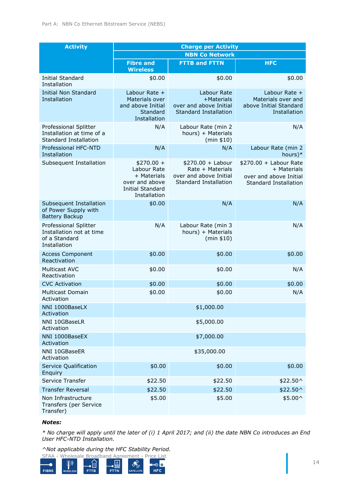| <b>Activity</b>                                                                    | <b>Charge per Activity</b>                                                                             |                                                                                           |                                                                                           |
|------------------------------------------------------------------------------------|--------------------------------------------------------------------------------------------------------|-------------------------------------------------------------------------------------------|-------------------------------------------------------------------------------------------|
|                                                                                    | <b>NBN Co Network</b>                                                                                  |                                                                                           |                                                                                           |
|                                                                                    | <b>Fibre and</b><br><b>Wireless</b>                                                                    | <b>FTTB and FTTN</b>                                                                      | <b>HFC</b>                                                                                |
| <b>Initial Standard</b><br>Installation                                            | \$0.00                                                                                                 | \$0.00                                                                                    | \$0.00                                                                                    |
| <b>Initial Non Standard</b><br>Installation                                        | Labour Rate $+$<br>Materials over<br>and above Initial<br>Standard<br>Installation                     | Labour Rate<br>+Materials<br>over and above Initial<br><b>Standard Installation</b>       | Labour Rate +<br>Materials over and<br>above Initial Standard<br>Installation             |
| Professional Splitter<br>Installation at time of a<br>Standard Installation        | N/A                                                                                                    | Labour Rate (min 2<br>hours) + Materials<br>(min \$10)                                    | N/A                                                                                       |
| Professional HFC-NTD<br>Installation                                               | N/A                                                                                                    | N/A                                                                                       | Labour Rate (min 2<br>hours $)*$                                                          |
| Subsequent Installation                                                            | $$270.00 +$<br>Labour Rate<br>+ Materials<br>over and above<br><b>Initial Standard</b><br>Installation | $$270.00 +$ Labour<br>Rate + Materials<br>over and above Initial<br>Standard Installation | $$270.00 +$ Labour Rate<br>+ Materials<br>over and above Initial<br>Standard Installation |
| Subsequent Installation<br>of Power Supply with<br><b>Battery Backup</b>           | \$0.00                                                                                                 | N/A                                                                                       | N/A                                                                                       |
| Professional Splitter<br>Installation not at time<br>of a Standard<br>Installation | N/A                                                                                                    | Labour Rate (min 3<br>hours) + Materials<br>(min \$10)                                    | N/A                                                                                       |
| <b>Access Component</b><br>Reactivation                                            | \$0.00                                                                                                 | \$0.00                                                                                    | \$0.00                                                                                    |
| <b>Multicast AVC</b><br>Reactivation                                               | \$0.00                                                                                                 | \$0.00                                                                                    | N/A                                                                                       |
| <b>CVC Activation</b>                                                              | \$0.00                                                                                                 | \$0.00                                                                                    | \$0.00                                                                                    |
| <b>Multicast Domain</b><br>Activation                                              | \$0.00                                                                                                 | \$0.00                                                                                    | N/A                                                                                       |
| NNI 1000BaseLX<br>Activation                                                       |                                                                                                        | \$1,000.00                                                                                |                                                                                           |
| NNI 10GBaseLR<br>Activation                                                        |                                                                                                        | \$5,000.00                                                                                |                                                                                           |
| NNI 1000BaseEX<br>Activation                                                       |                                                                                                        | \$7,000.00                                                                                |                                                                                           |
| NNI 10GBaseER<br>Activation                                                        |                                                                                                        | \$35,000.00                                                                               |                                                                                           |
| Service Qualification<br>Enquiry                                                   | \$0.00                                                                                                 | \$0.00                                                                                    | \$0.00                                                                                    |
| Service Transfer                                                                   | \$22.50                                                                                                | \$22.50                                                                                   | \$22.50^                                                                                  |
| <b>Transfer Reversal</b>                                                           | \$22.50                                                                                                | \$22.50                                                                                   | \$22.50^                                                                                  |
| Non Infrastructure<br>Transfers (per Service<br>Transfer)                          | \$5.00                                                                                                 | \$5.00                                                                                    | \$5.00^                                                                                   |

#### *Notes:*

*\* No charge will apply until the later of (i) 1 April 2017; and (ii) the date NBN Co introduces an End User HFC-NTD Installation.*

*^Not applicable during the HFC Stability Period.*

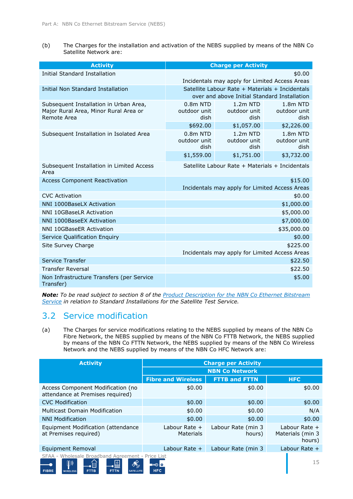(b) The Charges for the installation and activation of the NEBS supplied by means of the NBN Co Satellite Network are:

| <b>Activity</b>                                                                                | <b>Charge per Activity</b>                                                                      |                                                |                                  |
|------------------------------------------------------------------------------------------------|-------------------------------------------------------------------------------------------------|------------------------------------------------|----------------------------------|
| <b>Initial Standard Installation</b>                                                           | \$0.00                                                                                          |                                                |                                  |
|                                                                                                |                                                                                                 | Incidentals may apply for Limited Access Areas |                                  |
| <b>Initial Non Standard Installation</b>                                                       | Satellite Labour Rate + Materials + Incidentals<br>over and above Initial Standard Installation |                                                |                                  |
| Subsequent Installation in Urban Area,<br>Major Rural Area, Minor Rural Area or<br>Remote Area | 0.8 <sub>m</sub> NTD<br>outdoor unit<br>dish                                                    | $1.2m$ NTD<br>outdoor unit<br>dish             | 1.8m NTD<br>outdoor unit<br>dish |
|                                                                                                | \$692.00                                                                                        | \$1,057.00                                     | \$2,226.00                       |
| Subsequent Installation in Isolated Area                                                       | 0.8 <sub>m</sub> NTD<br>outdoor unit<br>dish                                                    | 1.2 <sub>m</sub> NTD<br>outdoor unit<br>dish   | 1.8m NTD<br>outdoor unit<br>dish |
|                                                                                                | \$1,559.00                                                                                      | \$1,751.00                                     | \$3,732.00                       |
| Subsequent Installation in Limited Access<br>Area                                              | Satellite Labour Rate + Materials + Incidentals                                                 |                                                |                                  |
| <b>Access Component Reactivation</b>                                                           | \$15.00<br>Incidentals may apply for Limited Access Areas                                       |                                                |                                  |
| <b>CVC Activation</b>                                                                          | \$0.00                                                                                          |                                                |                                  |
| NNI 1000BaseLX Activation                                                                      | \$1,000.00                                                                                      |                                                |                                  |
| <b>NNI 10GBaseLR Activation</b>                                                                | \$5,000.00                                                                                      |                                                |                                  |
| NNI 1000BaseEX Activation                                                                      | \$7,000.00                                                                                      |                                                |                                  |
| NNI 10GBaseER Activation                                                                       | \$35,000.00                                                                                     |                                                |                                  |
| Service Qualification Enquiry                                                                  |                                                                                                 |                                                | \$0.00                           |
| Site Survey Charge                                                                             | \$225.00<br>Incidentals may apply for Limited Access Areas                                      |                                                |                                  |
| Service Transfer                                                                               |                                                                                                 |                                                | \$22.50                          |
| <b>Transfer Reversal</b>                                                                       | \$22.50                                                                                         |                                                |                                  |
| Non Infrastructure Transfers (per Service<br>Transfer)                                         |                                                                                                 |                                                | \$5.00                           |

*Note: To be read subject to section 8 of the Product Description for the NBN Co Ethernet Bitstream Service in relation to Standard Installations for the Satellite Test Service.*

### 3.2 Service modification

(a) The Charges for service modifications relating to the NEBS supplied by means of the NBN Co Fibre Network, the NEBS supplied by means of the NBN Co FTTB Network, the NEBS supplied by means of the NBN Co FTTN Network, the NEBS supplied by means of the NBN Co Wireless Network and the NEBS supplied by means of the NBN Co HFC Network are:

| <b>Activity</b>                                                                                                                                                                                                                                              | <b>Charge per Activity</b>        |                              |                                               |  |
|--------------------------------------------------------------------------------------------------------------------------------------------------------------------------------------------------------------------------------------------------------------|-----------------------------------|------------------------------|-----------------------------------------------|--|
|                                                                                                                                                                                                                                                              | <b>NBN Co Network</b>             |                              |                                               |  |
|                                                                                                                                                                                                                                                              | <b>Fibre and Wireless</b>         | <b>FTTB and FTTN</b>         | <b>HFC</b>                                    |  |
| Access Component Modification (no<br>attendance at Premises required)                                                                                                                                                                                        | \$0.00                            | \$0.00                       | \$0.00                                        |  |
| <b>CVC Modification</b>                                                                                                                                                                                                                                      | \$0.00                            | \$0.00                       | \$0.00                                        |  |
| <b>Multicast Domain Modification</b>                                                                                                                                                                                                                         | \$0.00                            | \$0.00                       | N/A                                           |  |
| <b>NNI Modification</b>                                                                                                                                                                                                                                      | \$0.00                            | \$0.00                       | \$0.00                                        |  |
| Equipment Modification (attendance)<br>at Premises required)                                                                                                                                                                                                 | Labour Rate +<br><b>Materials</b> | Labour Rate (min 3<br>hours) | Labour Rate $+$<br>Materials (min 3<br>hours) |  |
| Equipment Removal                                                                                                                                                                                                                                            | Labour Rate $+$                   | Labour Rate (min 3           | Labour Rate $+$                               |  |
| SFAA - Wholesale Broadband Agreement - Price List<br>$\left[\!\left[\!\left[ \right]\!\right]\!\right)$<br><b>AUP</b><br>$\mathcal{S}_{\mathcal{D}}^{\Diamond}$<br>آ≣ ∙<br><b>FTTN</b><br><b>FIBRE</b><br><b>FTTB</b><br><b>WIRELESS</b><br><b>SATELLITE</b> | <b>EXO O</b><br><b>HFC</b>        |                              | 15                                            |  |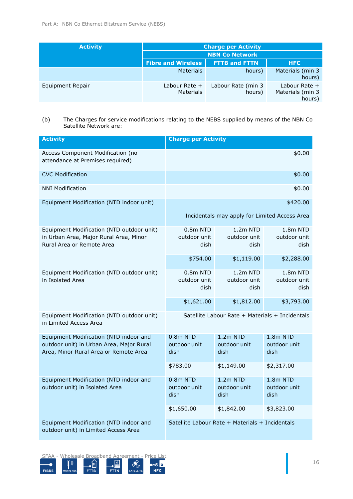| <b>Activity</b>  | <b>Charge per Activity</b>          |                              |                                               |
|------------------|-------------------------------------|------------------------------|-----------------------------------------------|
|                  | <b>NBN Co Network</b>               |                              |                                               |
|                  | <b>Fibre and Wireless</b>           | <b>FTTB and FTTN</b>         | <b>HFC</b>                                    |
|                  | <b>Materials</b>                    | hours)                       | Materials (min 3<br>hours)                    |
| Equipment Repair | Labour Rate $+$<br><b>Materials</b> | Labour Rate (min 3<br>hours) | Labour Rate $+$<br>Materials (min 3<br>hours) |

<sup>(</sup>b) The Charges for service modifications relating to the NEBS supplied by means of the NBN Co Satellite Network are:

| <b>Activity</b>                                                                                                             | <b>Charge per Activity</b>                      |                                                 |                                  |
|-----------------------------------------------------------------------------------------------------------------------------|-------------------------------------------------|-------------------------------------------------|----------------------------------|
| Access Component Modification (no<br>attendance at Premises required)                                                       |                                                 |                                                 | \$0.00                           |
| <b>CVC Modification</b>                                                                                                     |                                                 |                                                 | \$0.00                           |
| <b>NNI Modification</b>                                                                                                     |                                                 |                                                 | \$0.00                           |
| Equipment Modification (NTD indoor unit)                                                                                    |                                                 |                                                 | \$420.00                         |
|                                                                                                                             |                                                 | Incidentals may apply for Limited Access Area   |                                  |
| Equipment Modification (NTD outdoor unit)<br>in Urban Area, Major Rural Area, Minor<br>Rural Area or Remote Area            | $0.8m$ NTD<br>outdoor unit<br>dish              | $1.2m$ NTD<br>outdoor unit<br>dish              | 1.8m NTD<br>outdoor unit<br>dish |
|                                                                                                                             | \$754.00                                        | \$1,119.00                                      | \$2,288.00                       |
| Equipment Modification (NTD outdoor unit)<br>in Isolated Area                                                               | $0.8m$ NTD<br>outdoor unit<br>dish              | $1.2m$ NTD<br>outdoor unit<br>dish              | 1.8m NTD<br>outdoor unit<br>dish |
|                                                                                                                             | \$1,621.00                                      | \$1,812.00                                      | \$3,793.00                       |
| Equipment Modification (NTD outdoor unit)<br>in Limited Access Area                                                         | Satellite Labour Rate + Materials + Incidentals |                                                 |                                  |
| Equipment Modification (NTD indoor and<br>outdoor unit) in Urban Area, Major Rural<br>Area, Minor Rural Area or Remote Area | $0.8m$ NTD<br>outdoor unit<br>dish              | $1.2m$ NTD<br>outdoor unit<br>dish              | 1.8m NTD<br>outdoor unit<br>dish |
|                                                                                                                             | \$783.00                                        | \$1,149.00                                      | \$2,317.00                       |
| Equipment Modification (NTD indoor and<br>outdoor unit) in Isolated Area                                                    | $0.8m$ NTD<br>outdoor unit<br>dish              | 1.2m NTD<br>outdoor unit<br>dish                | 1.8m NTD<br>outdoor unit<br>dish |
|                                                                                                                             | \$1,650.00                                      | \$1,842.00                                      | \$3,823.00                       |
| Equipment Modification (NTD indoor and<br>outdoor unit) in Limited Access Area                                              |                                                 | Satellite Labour Rate + Materials + Incidentals |                                  |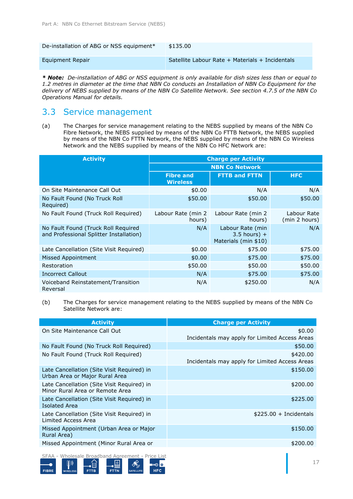| De-installation of ABG or NSS equipment* | \$135.00                                        |
|------------------------------------------|-------------------------------------------------|
| Equipment Repair                         | Satellite Labour Rate + Materials + Incidentals |

*\* Note: De-installation of ABG or NSS equipment is only available for dish sizes less than or equal to 1.2 metres in diameter at the time that NBN Co conducts an Installation of NBN Co Equipment for the delivery of NEBS supplied by means of the NBN Co Satellite Network. See section 4.7.5 of the NBN Co Operations Manual for details.*

### 3.3 Service management

(a) The Charges for service management relating to the NEBS supplied by means of the NBN Co Fibre Network, the NEBS supplied by means of the NBN Co FTTB Network, the NEBS supplied by means of the NBN Co FTTN Network, the NEBS supplied by means of the NBN Co Wireless Network and the NEBS supplied by means of the NBN Co HFC Network are:

| <b>Activity</b>                                                                | <b>Charge per Activity</b>          |                                                            |                              |  |
|--------------------------------------------------------------------------------|-------------------------------------|------------------------------------------------------------|------------------------------|--|
|                                                                                | <b>NBN Co Network</b>               |                                                            |                              |  |
|                                                                                | <b>Fibre and</b><br><b>Wireless</b> | <b>FTTB and FTTN</b>                                       | <b>HFC</b>                   |  |
| On Site Maintenance Call Out                                                   | \$0.00                              | N/A                                                        | N/A                          |  |
| No Fault Found (No Truck Roll<br>Required)                                     | \$50.00                             | \$50.00                                                    | \$50.00                      |  |
| No Fault Found (Truck Roll Required)                                           | Labour Rate (min 2<br>hours)        | Labour Rate (min 2<br>hours)                               | Labour Rate<br>(min 2 hours) |  |
| No Fault Found (Truck Roll Required<br>and Professional Splitter Installation) | N/A                                 | Labour Rate (min<br>$3.5$ hours) +<br>Materials (min \$10) | N/A                          |  |
| Late Cancellation (Site Visit Required)                                        | \$0.00                              | \$75.00                                                    | \$75.00                      |  |
| <b>Missed Appointment</b>                                                      | \$0.00                              | \$75.00                                                    | \$75.00                      |  |
| Restoration                                                                    | \$50.00                             | \$50.00                                                    | \$50.00                      |  |
| <b>Incorrect Callout</b>                                                       | N/A                                 | \$75.00                                                    | \$75.00                      |  |
| Voiceband Reinstatement/Transition<br>Reversal                                 | N/A                                 | \$250.00                                                   | N/A                          |  |

(b) The Charges for service management relating to the NEBS supplied by means of the NBN Co Satellite Network are:

| <b>Activity</b>                                                               | <b>Charge per Activity</b>                     |
|-------------------------------------------------------------------------------|------------------------------------------------|
| On Site Maintenance Call Out                                                  | \$0.00                                         |
|                                                                               | Incidentals may apply for Limited Access Areas |
| No Fault Found (No Truck Roll Required)                                       | \$50.00                                        |
| No Fault Found (Truck Roll Required)                                          | \$420.00                                       |
|                                                                               | Incidentals may apply for Limited Access Areas |
| Late Cancellation (Site Visit Required) in<br>Urban Area or Major Rural Area  | \$150.00                                       |
| Late Cancellation (Site Visit Required) in<br>Minor Rural Area or Remote Area | \$200.00                                       |
| Late Cancellation (Site Visit Required) in<br><b>Isolated Area</b>            | \$225.00                                       |
| Late Cancellation (Site Visit Required) in<br>Limited Access Area             | $$225.00 + Incidentials$                       |
| Missed Appointment (Urban Area or Major<br>Rural Area)                        | \$150.00                                       |
| Missed Appointment (Minor Rural Area or                                       | \$200.00                                       |
| SFAA - Wholesale Broadband Agreement - Price List                             |                                                |

80 O FIBRE **HFC**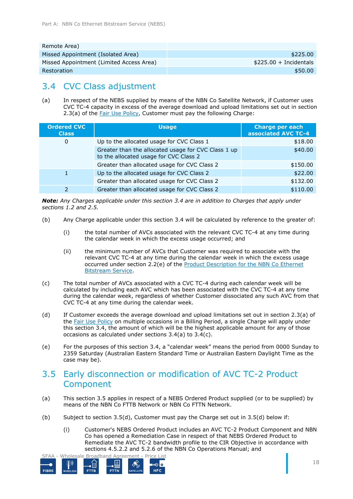| Remote Area)                             |                          |
|------------------------------------------|--------------------------|
| Missed Appointment (Isolated Area)       | \$225.00                 |
| Missed Appointment (Limited Access Area) | $$225.00 + Incidentials$ |
| Restoration                              | \$50.00                  |

## <span id="page-17-0"></span>3.4 CVC Class adjustment

<span id="page-17-1"></span>(a) In respect of the NEBS supplied by means of the NBN Co Satellite Network, if Customer uses CVC TC-4 capacity in excess of the average download and upload limitations set out in section 2.3(a) of the **Fair Use Policy**, Customer must pay the following Charge:

| <b>Ordered CVC</b><br><b>Class</b> | <b>Usage</b>                                                                                  | <b>Charge per each</b><br>associated AVC TC-4 |
|------------------------------------|-----------------------------------------------------------------------------------------------|-----------------------------------------------|
| 0                                  | Up to the allocated usage for CVC Class 1                                                     | \$18.00                                       |
|                                    | Greater than the allocated usage for CVC Class 1 up<br>to the allocated usage for CVC Class 2 | \$40.00                                       |
|                                    | Greater than allocated usage for CVC Class 2                                                  | \$150.00                                      |
|                                    | Up to the allocated usage for CVC Class 2                                                     | \$22.00                                       |
|                                    | Greater than allocated usage for CVC Class 2                                                  | \$132.00                                      |
|                                    | Greater than allocated usage for CVC Class 2                                                  | \$110.00                                      |

*Note: Any Charges applicable under this section [3.4](#page-17-0) are in addition to Charges that apply under sections [1.2](#page-6-0) and [2.5.](#page-12-1)*

- (b) Any Charge applicable under this section [3.4](#page-17-0) will be calculated by reference to the greater of:
	- (i) the total number of AVCs associated with the relevant CVC TC-4 at any time during the calendar week in which the excess usage occurred; and
	- (ii) the minimum number of AVCs that Customer was required to associate with the relevant CVC TC-4 at any time during the calendar week in which the excess usage occurred under section 2.2(e) of the Product Description for the NBN Co Ethernet Bitstream Service.
- <span id="page-17-2"></span>(c) The total number of AVCs associated with a CVC TC-4 during each calendar week will be calculated by including each AVC which has been associated with the CVC TC-4 at any time during the calendar week, regardless of whether Customer dissociated any such AVC from that CVC TC-4 at any time during the calendar week.
- (d) If Customer exceeds the average download and upload limitations set out in section 2.3(a) of the Fair Use Policy on multiple occasions in a Billing Period, a single Charge will apply under this section [3.4,](#page-17-0) the amount of which will be the highest applicable amount for any of those occasions as calculated under sections [3.4\(a\)](#page-17-1) to [3.4\(c\).](#page-17-2)
- (e) For the purposes of this section [3.4](#page-17-0), a "calendar week" means the period from 0000 Sunday to 2359 Saturday (Australian Eastern Standard Time or Australian Eastern Daylight Time as the case may be).

## <span id="page-17-3"></span>3.5 Early disconnection or modification of AVC TC-2 Product Component

- (a) This section [3.5](#page-17-3) applies in respect of a NEBS Ordered Product supplied (or to be supplied) by means of the NBN Co FTTB Network or NBN Co FTTN Network.
- (b) Subject to section [3.5\(d\),](#page-18-0) Customer must pay the Charge set out in [3.5\(d\)](#page-18-0) below if:
	- (i) Customer's NEBS Ordered Product includes an AVC TC-2 Product Component and NBN Co has opened a Remediation Case in respect of that NEBS Ordered Product to Remediate the AVC TC-2 bandwidth profile to the CIR Objective in accordance with sections 4.5.2.2 and 5.2.6 of the NBN Co Operations Manual; and

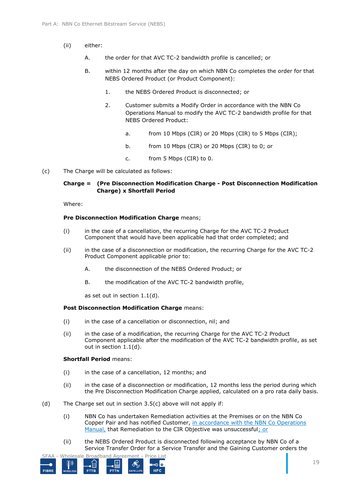- (ii) either:
	- A. the order for that AVC TC-2 bandwidth profile is cancelled; or
	- B. within 12 months after the day on which NBN Co completes the order for that NEBS Ordered Product (or Product Component):
		- 1. the NEBS Ordered Product is disconnected; or
		- 2. Customer submits a Modify Order in accordance with the NBN Co Operations Manual to modify the AVC TC-2 bandwidth profile for that NEBS Ordered Product:
			- a. from 10 Mbps (CIR) or 20 Mbps (CIR) to 5 Mbps (CIR);
			- b. from 10 Mbps (CIR) or 20 Mbps (CIR) to 0; or
			- c. from 5 Mbps (CIR) to 0.
- <span id="page-18-1"></span>(c) The Charge will be calculated as follows:

#### **Charge = (Pre Disconnection Modification Charge - Post Disconnection Modification Charge) x Shortfall Period**

Where:

#### **Pre Disconnection Modification Charge** means;

- (i) in the case of a cancellation, the recurring Charge for the AVC TC-2 Product Component that would have been applicable had that order completed; and
- (ii) in the case of a disconnection or modification, the recurring Charge for the AVC TC-2 Product Component applicable prior to:
	- A. the disconnection of the NEBS Ordered Product; or
	- B. the modification of the AVC TC-2 bandwidth profile,

as set out in section [1.1\(d\).](#page-6-1)

#### **Post Disconnection Modification Charge** means:

- (i) in the case of a cancellation or disconnection, nil; and
- (ii) in the case of a modification, the recurring Charge for the AVC TC-2 Product Component applicable after the modification of the AVC TC-2 bandwidth profile, as set out in section [1.1\(d\).](#page-6-1)

#### **Shortfall Period** means:

- (i) in the case of a cancellation, 12 months; and
- (ii) in the case of a disconnection or modification, 12 months less the period during which the Pre Disconnection Modification Charge applied, calculated on a pro rata daily basis.
- <span id="page-18-0"></span>(d) The Charge set out in section [3.5\(c\)](#page-18-1) above will not apply if:
	- (i) NBN Co has undertaken Remediation activities at the Premises or on the NBN Co Copper Pair and has notified Customer, in accordance with the NBN Co Operations Manual, that Remediation to the CIR Objective was unsuccessful; or
	- (ii) the NEBS Ordered Product is disconnected following acceptance by NBN Co of a Service Transfer Order for a Service Transfer and the Gaining Customer orders the

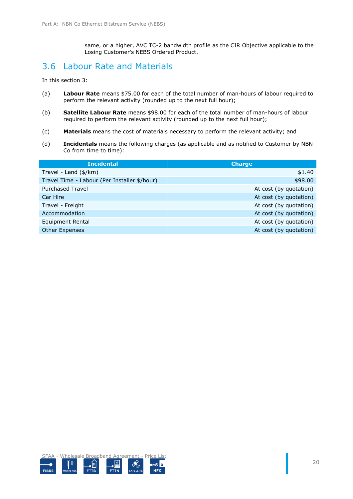same, or a higher, AVC TC-2 bandwidth profile as the CIR Objective applicable to the Losing Customer's NEBS Ordered Product.

### 3.6 Labour Rate and Materials

In this section [3:](#page-12-0)

- (a) **Labour Rate** means \$75.00 for each of the total number of man-hours of labour required to perform the relevant activity (rounded up to the next full hour);
- (b) **Satellite Labour Rate** means \$98.00 for each of the total number of man-hours of labour required to perform the relevant activity (rounded up to the next full hour);
- (c) **Materials** means the cost of materials necessary to perform the relevant activity; and
- (d) **Incidentals** means the following charges (as applicable and as notified to Customer by NBN Co from time to time):

| <b>Incidental</b>                            | <b>Charge</b>          |
|----------------------------------------------|------------------------|
| Travel - Land (\$/km)                        | \$1.40                 |
| Travel Time - Labour (Per Installer \$/hour) | \$98.00                |
| <b>Purchased Travel</b>                      | At cost (by quotation) |
| Car Hire                                     | At cost (by quotation) |
| Travel - Freight                             | At cost (by quotation) |
| Accommodation                                | At cost (by quotation) |
| Equipment Rental                             | At cost (by quotation) |
| <b>Other Expenses</b>                        | At cost (by quotation) |

SFAA - Wholesale Broadband Agreement - Price List ∞⊙∣⊙

**HFC** 

FIBRE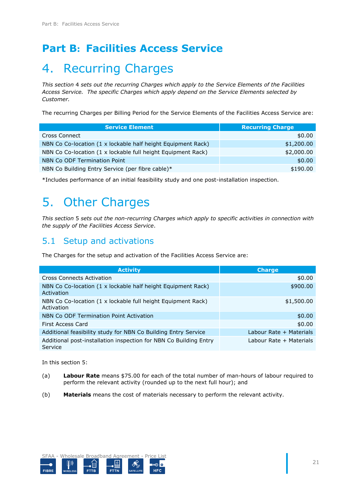## <span id="page-20-0"></span>**Part B: Facilities Access Service**

## <span id="page-20-1"></span>4. Recurring Charges

*This section* [4](#page-20-1) *sets out the recurring Charges which apply to the Service Elements of the Facilities Access Service. The specific Charges which apply depend on the Service Elements selected by Customer.* 

The recurring Charges per Billing Period for the Service Elements of the Facilities Access Service are:

| <b>Service Element</b>                                       | <b>Recurring Charge</b> |
|--------------------------------------------------------------|-------------------------|
| Cross Connect                                                | \$0.00                  |
| NBN Co Co-location (1 x lockable half height Equipment Rack) | \$1,200.00              |
| NBN Co Co-location (1 x lockable full height Equipment Rack) | \$2,000.00              |
| NBN Co ODF Termination Point                                 | \$0.00                  |
| NBN Co Building Entry Service (per fibre cable)*             | \$190.00                |

\*Includes performance of an initial feasibility study and one post-installation inspection.

## <span id="page-20-2"></span>5. Other Charges

*This section* [5](#page-20-2) *sets out the non-recurring Charges which apply to specific activities in connection with the supply of the Facilities Access Service*.

### 5.1 Setup and activations

The Charges for the setup and activation of the Facilities Access Service are:

| <b>Activity</b>                                                              | <b>Charge</b>           |
|------------------------------------------------------------------------------|-------------------------|
| <b>Cross Connects Activation</b>                                             | \$0.00                  |
| NBN Co Co-location (1 x lockable half height Equipment Rack)<br>Activation   | \$900.00                |
| NBN Co Co-location (1 x lockable full height Equipment Rack)<br>Activation   | \$1,500.00              |
| NBN Co ODF Termination Point Activation                                      | \$0.00                  |
| First Access Card                                                            | \$0.00                  |
| Additional feasibility study for NBN Co Building Entry Service               | Labour Rate + Materials |
| Additional post-installation inspection for NBN Co Building Entry<br>Service | Labour Rate + Materials |

In this section [5:](#page-20-2)

- (a) **Labour Rate** means \$75.00 for each of the total number of man-hours of labour required to perform the relevant activity (rounded up to the next full hour); and
- (b) **Materials** means the cost of materials necessary to perform the relevant activity.

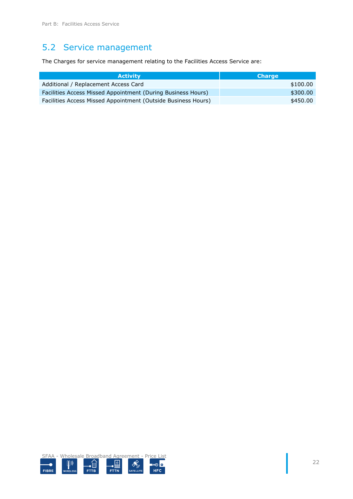## 5.2 Service management

The Charges for service management relating to the Facilities Access Service are:

| <b>Activity</b>                                               | <b>Charge</b> |
|---------------------------------------------------------------|---------------|
| Additional / Replacement Access Card                          | \$100.00      |
| Facilities Access Missed Appointment (During Business Hours)  | \$300.00      |
| Facilities Access Missed Appointment (Outside Business Hours) | \$450.00      |

SFAA - Wholesale Broadband Agreement - Price List  $\left[\!\left[\!\left[ \right]\!\right]\!\right)$  $\mathcal{S}_{\mathcal{D}}^{\Diamond}$ ∞⊙ <mark>⊙</mark> آ⊞ً• FIBRE **HFC FTTB FTTN** SATELLITE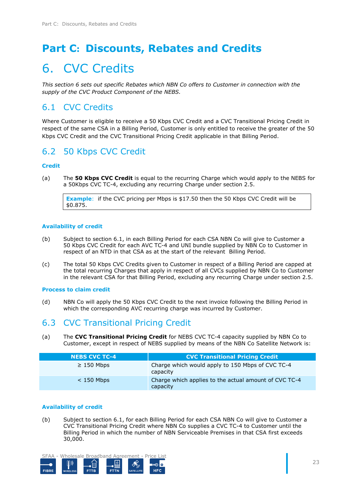## <span id="page-22-0"></span>**Part C: Discounts, Rebates and Credits**

## <span id="page-22-1"></span>6. CVC Credits

*This section [6](#page-22-1) sets out specific Rebates which NBN Co offers to Customer in connection with the supply of the CVC Product Component of the NEBS.*

## <span id="page-22-2"></span>6.1 CVC Credits

Where Customer is eligible to receive a 50 Kbps CVC Credit and a CVC Transitional Pricing Credit in respect of the same CSA in a Billing Period, Customer is only entitled to receive the greater of the 50 Kbps CVC Credit and the CVC Transitional Pricing Credit applicable in that Billing Period.

## 6.2 50 Kbps CVC Credit

### **Credit**

(a) The **50 Kbps CVC Credit** is equal to the recurring Charge which would apply to the NEBS for a 50Kbps CVC TC-4, excluding any recurring Charge under section [2.5.](#page-12-1)

**Example**: if the CVC pricing per Mbps is \$17.50 then the 50 Kbps CVC Credit will be \$0.875.

#### **Availability of credit**

- (b) Subject to section [6.1,](#page-22-2) in each Billing Period for each CSA NBN Co will give to Customer a 50 Kbps CVC Credit for each AVC TC-4 and UNI bundle supplied by NBN Co to Customer in respect of an NTD in that CSA as at the start of the relevant Billing Period.
- (c) The total 50 Kbps CVC Credits given to Customer in respect of a Billing Period are capped at the total recurring Charges that apply in respect of all CVCs supplied by NBN Co to Customer in the relevant CSA for that Billing Period, excluding any recurring Charge under section [2.5.](#page-12-1)

#### **Process to claim credit**

(d) NBN Co will apply the 50 Kbps CVC Credit to the next invoice following the Billing Period in which the corresponding AVC recurring charge was incurred by Customer.

### 6.3 CVC Transitional Pricing Credit

(a) The **CVC Transitional Pricing Credit** for NEBS CVC TC-4 capacity supplied by NBN Co to Customer, except in respect of NEBS supplied by means of the NBN Co Satellite Network is:

| <b>NEBS CVC TC-4</b> | <b>CVC Transitional Pricing Credit</b>                            |
|----------------------|-------------------------------------------------------------------|
| $\geq$ 150 Mbps      | Charge which would apply to 150 Mbps of CVC TC-4<br>capacity      |
| $<$ 150 Mbps         | Charge which applies to the actual amount of CVC TC-4<br>capacity |

#### **Availability of credit**

<span id="page-22-3"></span>(b) Subject to section [6.1,](#page-22-2) for each Billing Period for each CSA NBN Co will give to Customer a CVC Transitional Pricing Credit where NBN Co supplies a CVC TC-4 to Customer until the Billing Period in which the number of NBN Serviceable Premises in that CSA first exceeds 30,000.



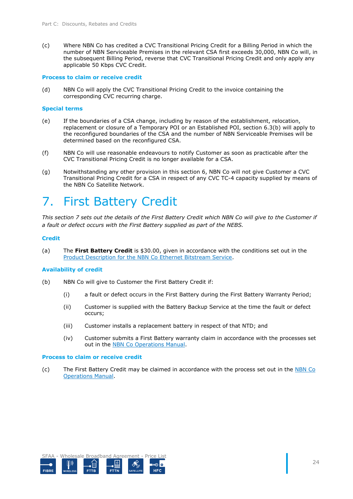(c) Where NBN Co has credited a CVC Transitional Pricing Credit for a Billing Period in which the number of NBN Serviceable Premises in the relevant CSA first exceeds 30,000, NBN Co will, in the subsequent Billing Period, reverse that CVC Transitional Pricing Credit and only apply any applicable 50 Kbps CVC Credit.

#### **Process to claim or receive credit**

(d) NBN Co will apply the CVC Transitional Pricing Credit to the invoice containing the corresponding CVC recurring charge.

#### **Special terms**

- (e) If the boundaries of a CSA change, including by reason of the establishment, relocation, replacement or closure of a Temporary POI or an Established POI, section [6.3\(b\)](#page-22-3) will apply to the reconfigured boundaries of the CSA and the number of NBN Serviceable Premises will be determined based on the reconfigured CSA.
- (f) NBN Co will use reasonable endeavours to notify Customer as soon as practicable after the CVC Transitional Pricing Credit is no longer available for a CSA.
- (g) Notwithstanding any other provision in this section [6,](#page-22-1) NBN Co will not give Customer a CVC Transitional Pricing Credit for a CSA in respect of any CVC TC-4 capacity supplied by means of the NBN Co Satellite Network.

## <span id="page-23-0"></span>7. First Battery Credit

*This section [7](#page-23-0) sets out the details of the First Battery Credit which NBN Co will give to the Customer if a fault or defect occurs with the First Battery supplied as part of the NEBS.*

#### **Credit**

(a) The **First Battery Credit** is \$30.00, given in accordance with the conditions set out in the Product Description for the NBN Co Ethernet Bitstream Service.

#### **Availability of credit**

- (b) NBN Co will give to Customer the First Battery Credit if:
	- (i) a fault or defect occurs in the First Battery during the First Battery Warranty Period;
	- (ii) Customer is supplied with the Battery Backup Service at the time the fault or defect occurs;
	- (iii) Customer installs a replacement battery in respect of that NTD; and
	- (iv) Customer submits a First Battery warranty claim in accordance with the processes set out in the NBN Co Operations Manual.

#### **Process to claim or receive credit**

(c) The First Battery Credit may be claimed in accordance with the process set out in the NBN Co Operations Manual.

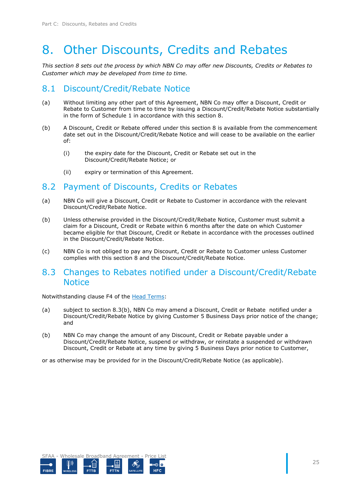## <span id="page-24-0"></span>8. Other Discounts, Credits and Rebates

*This section [8](#page-24-0) sets out the process by which NBN Co may offer new Discounts, Credits or Rebates to Customer which may be developed from time to time.* 

### 8.1 Discount/Credit/Rebate Notice

- (a) Without limiting any other part of this Agreement, NBN Co may offer a Discount, Credit or Rebate to Customer from time to time by issuing a Discount/Credit/Rebate Notice substantially in the form of [Schedule 1](#page-27-0) in accordance with this section [8.](#page-24-0)
- (b) A Discount, Credit or Rebate offered under this section [8](#page-24-0) is available from the commencement date set out in the Discount/Credit/Rebate Notice and will cease to be available on the earlier of:
	- (i) the expiry date for the Discount, Credit or Rebate set out in the Discount/Credit/Rebate Notice; or
	- (ii) expiry or termination of this Agreement.

### 8.2 Payment of Discounts, Credits or Rebates

- (a) NBN Co will give a Discount, Credit or Rebate to Customer in accordance with the relevant Discount/Credit/Rebate Notice.
- (b) Unless otherwise provided in the Discount/Credit/Rebate Notice, Customer must submit a claim for a Discount, Credit or Rebate within 6 months after the date on which Customer became eligible for that Discount, Credit or Rebate in accordance with the processes outlined in the Discount/Credit/Rebate Notice.
- (c) NBN Co is not obliged to pay any Discount, Credit or Rebate to Customer unless Customer complies with this section [8](#page-24-0) and the Discount/Credit/Rebate Notice.

### 8.3 Changes to Rebates notified under a Discount/Credit/Rebate **Notice**

Notwithstanding clause F4 of the Head Terms:

- (a) subject to section [8.3\(b\),](#page-24-1) NBN Co may amend a Discount, Credit or Rebate notified under a Discount/Credit/Rebate Notice by giving Customer 5 Business Days prior notice of the change; and
- <span id="page-24-1"></span>(b) NBN Co may change the amount of any Discount, Credit or Rebate payable under a Discount/Credit/Rebate Notice, suspend or withdraw, or reinstate a suspended or withdrawn Discount, Credit or Rebate at any time by giving 5 Business Days prior notice to Customer,

or as otherwise may be provided for in the Discount/Credit/Rebate Notice (as applicable).

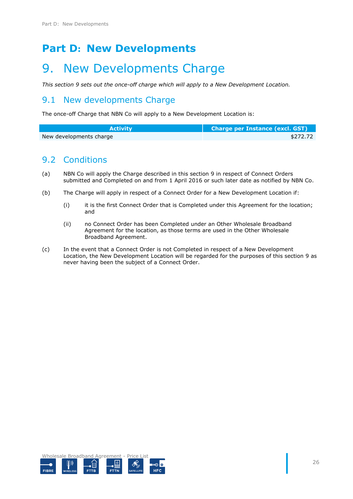## <span id="page-25-0"></span>**Part D: New Developments**

## <span id="page-25-1"></span>9. New Developments Charge

*This section [9](#page-25-1) sets out the once-off charge which will apply to a New Development Location.*

### 9.1 New developments Charge

The once-off Charge that NBN Co will apply to a New Development Location is:

| <b>Activity</b>         | Charge per Instance (excl. GST) |
|-------------------------|---------------------------------|
| New developments charge | \$272.72                        |

### 9.2 Conditions

- (a) NBN Co will apply the Charge described in this section [9](#page-25-1) in respect of Connect Orders submitted and Completed on and from 1 April 2016 or such later date as notified by NBN Co.
- (b) The Charge will apply in respect of a Connect Order for a New Development Location if:
	- (i) it is the first Connect Order that is Completed under this Agreement for the location; and
	- (ii) no Connect Order has been Completed under an Other Wholesale Broadband Agreement for the location, as those terms are used in the Other Wholesale Broadband Agreement.
- (c) In the event that a Connect Order is not Completed in respect of a New Development Location, the New Development Location will be regarded for the purposes of this section [9](#page-25-1) as never having been the subject of a Connect Order.

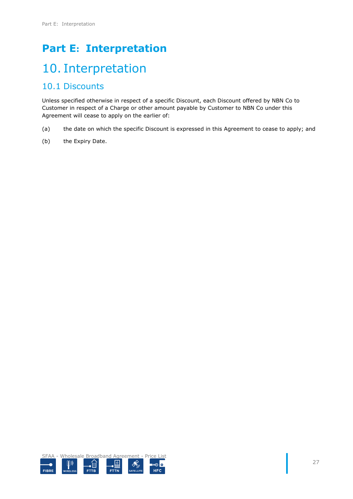## <span id="page-26-0"></span>**Part E: Interpretation**

## <span id="page-26-1"></span>10. Interpretation

### 10.1 Discounts

Unless specified otherwise in respect of a specific Discount, each Discount offered by NBN Co to Customer in respect of a Charge or other amount payable by Customer to NBN Co under this Agreement will cease to apply on the earlier of:

- (a) the date on which the specific Discount is expressed in this Agreement to cease to apply; and
- (b) the Expiry Date.